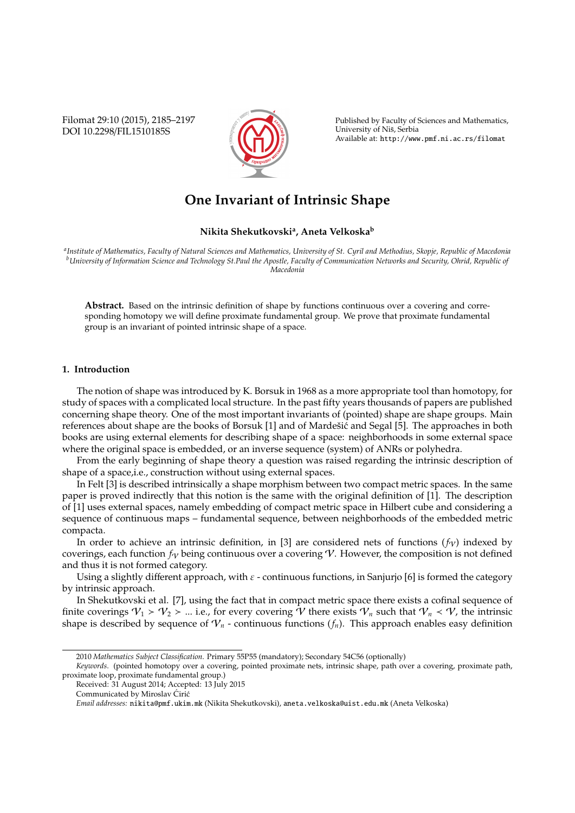Filomat 29:10 (2015), 2185–2197 DOI 10.2298/FIL1510185S



Published by Faculty of Sciences and Mathematics, University of Nis, Serbia ˇ Available at: http://www.pmf.ni.ac.rs/filomat

# **One Invariant of Intrinsic Shape**

## **Nikita Shekutkovski<sup>a</sup> , Aneta Velkoska<sup>b</sup>**

*a Institute of Mathematics, Faculty of Natural Sciences and Mathematics, University of St. Cyril and Methodius, Skopje, Republic of Macedonia <sup>b</sup>University of Information Science and Technology St.Paul the Apostle, Faculty of Communication Networks and Security, Ohrid, Republic of Macedonia*

**Abstract.** Based on the intrinsic definition of shape by functions continuous over a covering and corresponding homotopy we will define proximate fundamental group. We prove that proximate fundamental group is an invariant of pointed intrinsic shape of a space.

# **1. Introduction**

The notion of shape was introduced by K. Borsuk in 1968 as a more appropriate tool than homotopy, for study of spaces with a complicated local structure. In the past fifty years thousands of papers are published concerning shape theory. One of the most important invariants of (pointed) shape are shape groups. Main references about shape are the books of Borsuk [1] and of Mardešić and Segal [5]. The approaches in both books are using external elements for describing shape of a space: neighborhoods in some external space where the original space is embedded, or an inverse sequence (system) of ANRs or polyhedra.

From the early beginning of shape theory a question was raised regarding the intrinsic description of shape of a space,i.e., construction without using external spaces.

In Felt [3] is described intrinsically a shape morphism between two compact metric spaces. In the same paper is proved indirectly that this notion is the same with the original definition of [1]. The description of [1] uses external spaces, namely embedding of compact metric space in Hilbert cube and considering a sequence of continuous maps – fundamental sequence, between neighborhoods of the embedded metric compacta.

In order to achieve an intrinsic definition, in [3] are considered nets of functions  $(f_V)$  indexed by coverings, each function  $f_V$  being continuous over a covering  $V$ . However, the composition is not defined and thus it is not formed category.

Using a slightly different approach, with  $\varepsilon$  - continuous functions, in Sanjurjo [6] is formed the category by intrinsic approach.

In Shekutkovski et al. [7], using the fact that in compact metric space there exists a cofinal sequence of finite coverings  $V_1 > V_2 > ...$  i.e., for every covering V there exists  $V_n$  such that  $V_n < V$ , the intrinsic shape is described by sequence of  $V_n$  - continuous functions  $(f_n)$ . This approach enables easy definition

<sup>2010</sup> *Mathematics Subject Classification*. Primary 55P55 (mandatory); Secondary 54C56 (optionally)

*Keywords*. (pointed homotopy over a covering, pointed proximate nets, intrinsic shape, path over a covering, proximate path, proximate loop, proximate fundamental group.)

Received: 31 August 2014; Accepted: 13 July 2015

Communicated by Miroslav Ćirić

*Email addresses:* nikita@pmf.ukim.mk (Nikita Shekutkovski), aneta.velkoska@uist.edu.mk (Aneta Velkoska)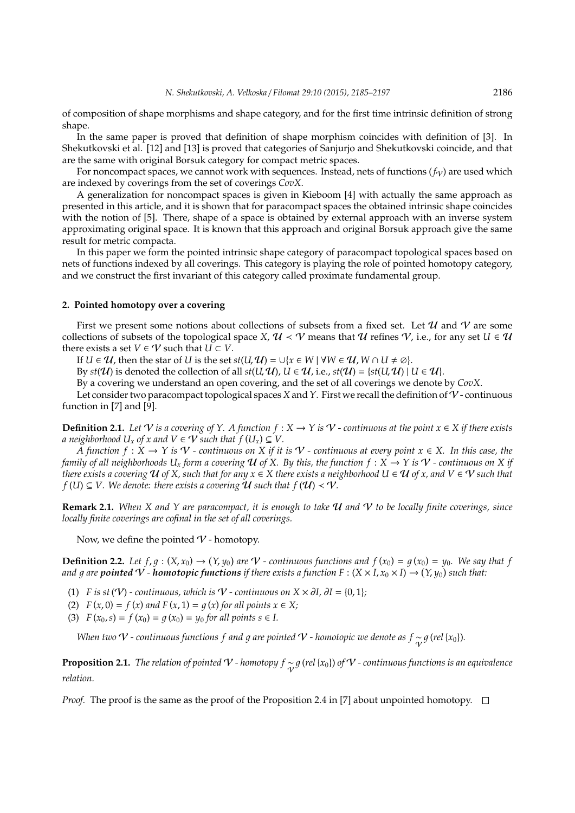of composition of shape morphisms and shape category, and for the first time intrinsic definition of strong shape.

In the same paper is proved that definition of shape morphism coincides with definition of [3]. In Shekutkovski et al. [12] and [13] is proved that categories of Sanjurjo and Shekutkovski coincide, and that are the same with original Borsuk category for compact metric spaces.

For noncompact spaces, we cannot work with sequences. Instead, nets of functions  $(f_V)$  are used which are indexed by coverings from the set of coverings *CovX*.

A generalization for noncompact spaces is given in Kieboom [4] with actually the same approach as presented in this article, and it is shown that for paracompact spaces the obtained intrinsic shape coincides with the notion of [5]. There, shape of a space is obtained by external approach with an inverse system approximating original space. It is known that this approach and original Borsuk approach give the same result for metric compacta.

In this paper we form the pointed intrinsic shape category of paracompact topological spaces based on nets of functions indexed by all coverings. This category is playing the role of pointed homotopy category, and we construct the first invariant of this category called proximate fundamental group.

#### **2. Pointed homotopy over a covering**

First we present some notions about collections of subsets from a fixed set. Let  $\mathcal U$  and  $\mathcal V$  are some collections of subsets of the topological space *X*,  $U \prec V$  means that  $U$  refines  $V$ , i.e., for any set  $U \in U$ there exists a set *V*  $\in$  *V* such that *U*  $\subset$  *V*.

*If U* ∈  $U$ , then the star of *U* is the set *st*(*U*,  $U$ ) = ∪{*x* ∈ *W* | ∀*W* ∈  $U$ , *W* ∩ *U* ≠  $\emptyset$ }.

By  $st(\mathcal{U})$  is denoted the collection of all  $st(U, \mathcal{U})$ ,  $U \in \mathcal{U}$ , i.e.,  $st(\mathcal{U}) = \{st(U, \mathcal{U}) \mid U \in \mathcal{U}\}$ .

By a covering we understand an open covering, and the set of all coverings we denote by *CovX*.

Let consider two paracompact topological spaces *X* and *Y*. First we recall the definition of V - continuous function in [7] and [9].

**Definition 2.1.** *Let*  $\forall$  *is a covering of*  $\forall$ *. A function*  $f : X → Y$  *is*  $\forall$  *- continuous at the point*  $x ∈ X$  *if there exists a* neighborhood  $U_x$  of x and  $V \in V$  such that  $f(U_x) \subseteq V$ .

*A function f* : *X* → *Y is* V *- continuous on X if it is* V *- continuous at every point x* ∈ *X. In this case, the family of all neighborhoods*  $U_x$  *form a covering*  $U$  *of*  $X$ . By this, the function  $f : X \to Y$  is  $V$  - continuous on X if *there exists a covering*  $U$  *of X, such that for any*  $x \in X$  *there exists a neighborhood*  $U \in U$  *of x, and*  $V \in V$  *such that f* (*U*)  $\subseteq$  *V*. We denote: there exists a covering **U** such that *f* (**U**) < **V**.

**Remark 2.1.** *When X and Y are paracompact, it is enough to take* U *and* V *to be locally finite coverings, since locally finite coverings are cofinal in the set of all coverings.*

Now, we define the pointed  $V$  - homotopy.

**Definition 2.2.** Let  $f, g : (X, x_0) \to (Y, y_0)$  are  $\mathcal{V}$  - continuous functions and  $f(x_0) = g(x_0) = y_0$ . We say that f and  $g$  are  $p$ ointed  $V$  - homotopic functions if there exists a function  $F:(X\times I, x_0\times I)\to (Y, y_0)$  such that:

- (1) *F* is st ( $V$ ) *-* continuous, which is  $V$  *-* continuous on  $X \times \partial I$ ,  $\partial I = \{0, 1\}$ ;
- (2)  $F(x, 0) = f(x)$  *and*  $F(x, 1) = g(x)$  *for all points*  $x \in X$ ;

(3)  $F(x_0, s) = f(x_0) = g(x_0) = y_0$  *for all points s*  $\in$  *I.* 

*When two*  $V$  - continuous functions  $f$  and  $g$  are pointed  $V$  - homotopic we denote as  $f \sim p$  (rel {x<sub>0</sub>}).

**Proposition 2.1.** *The relation of pointed*  $V$  - homotopy  $f \sim g$  (rel {x<sub>0</sub>}) of  $V$  - continuous functions is an equivalence *relation.*

*Proof.* The proof is the same as the proof of the Proposition 2.4 in [7] about unpointed homotopy.  $\Box$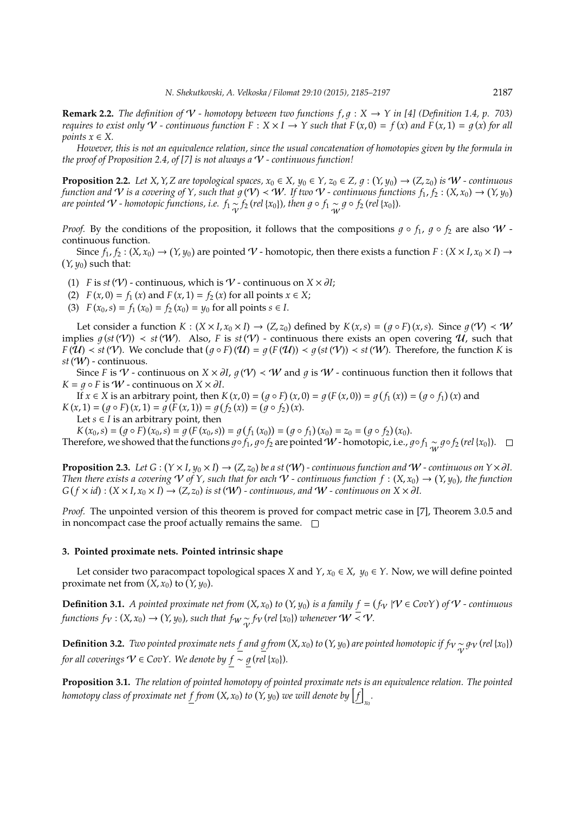**Remark 2.2.** *The definition of*  $V$  *- homotopy between two functions*  $f, g: X \to Y$  *in* [4] (Definition 1.4, p. 703) *requires to exist only*  $V$  *- continuous function*  $F: X \times I \to Y$  such that  $F(x, 0) = f(x)$  and  $F(x, 1) = g(x)$  for all *points*  $x \in X$ .

*However, this is not an equivalence relation, since the usual concatenation of homotopies given by the formula in the proof of Proposition 2.4, of [7] is not always a* V *- continuous function!*

**Proposition 2.2.** Let X, Y, Z are topological spaces,  $x_0 \in X$ ,  $y_0 \in Y$ ,  $z_0 \in Z$ ,  $g: (Y, y_0) \to (Z, z_0)$  is  $W$  - continuous *function and*  $V$  *is a covering of Y, such that*  $g(V) < W$ *. If two*  $V$  *- continuous functions*  $f_1, f_2: (X,x_0) \to (Y,y_0)$ *are pointed*  $V$  *- homotopic functions, i.e.*  $f_1 \simsim f_2$  *(rel {x<sub>0</sub>})<i>, then g*  $\circ$   $f_1 \simsimsim g \circ f_2$  (rel {x<sub>0</sub>}).

*Proof.* By the conditions of the proposition, it follows that the compositions  $g \circ f_1$ ,  $g \circ f_2$  are also W continuous function.

Since  $f_1, f_2: (X, x_0) \to (Y, y_0)$  are pointed  $V$  - homotopic, then there exists a function  $F: (X \times I, x_0 \times I) \to$  $(Y, y_0)$  such that:

(1) *F* is *st* ( $V$ ) - continuous, which is  $V$  - continuous on  $X \times \partial I$ ;

(2)  $F(x, 0) = f_1(x)$  and  $F(x, 1) = f_2(x)$  for all points  $x \in X$ ;

(3)  $F(x_0, s) = f_1(x_0) = f_2(x_0) = y_0$  for all points  $s \in I$ .

Let consider a function  $K : (X \times I, x_0 \times I) \to (Z, z_0)$  defined by  $K(x, s) = (g \circ F)(x, s)$ . Since  $g(\mathcal{V}) < \mathcal{W}$ implies  $g(st(V)) < st(W)$ . Also, *F* is  $st(V)$  - continuous there exists an open covering  $U$ , such that  $F(\hat{\mathcal{U}}) < st(\mathcal{V})$ . We conclude that  $(g \circ F)(\mathcal{U}) = g(F(\mathcal{U})) < g(st(\mathcal{V})) < st(\mathcal{W})$ . Therefore, the function *K* is *st* (W) - continuous.

Since *F* is V - continuous on *X* ×  $\partial I$ ,  $g(\Psi)$  < W and  $g$  is W - continuous function then it follows that  $K = q \circ F$  is *W* - continuous on  $X \times \partial I$ .

If *x* ∈ *X* is an arbitrary point, then *K*(*x*, 0) = (*g* ◦ *F*)(*x*, 0) = *g*(*F*(*x*, 0)) = *g*(*f*<sub>1</sub>(*x*)) = (*g* ◦ *f*<sub>1</sub>)(*x*) and  $K(x, 1) = (g \circ F)(x, 1) = g(\overline{F}(x, 1)) = g(f_2(x)) = (g \circ f_2)(x).$ 

Let  $s \in I$  is an arbitrary point, then

 $K(x_0, s) = (g \circ F)(x_0, s) = g(F(x_0, s)) = g(f_1(x_0)) = (g \circ f_1)(x_0) = z_0 = (g \circ f_2)(x_0).$ Therefore, we showed that the functions  $g \circ f_1$ ,  $g \circ f_2$  are pointed W - homotopic, i.e.,  $g \circ f_1 \sim g \circ f_2$  (*rel* {*x*<sub>0</sub>}).

**Proposition 2.3.** Let  $G : (Y \times I, y_0 \times I) \to (Z, z_0)$  be a st  $(W)$  - continuous function and  $W$  - continuous on  $Y \times \partial I$ . *Then there exists a covering*  $V$  of  $Y$ , such that for each  $V$  - continuous function  $f : (X, x_0) \to (Y, y_0)$ , the function  $G(f \times id)$  :  $(X \times I, x_0 \times I) \rightarrow (Z, z_0)$  *is st* (*W*) *- continuous, and W - continuous on*  $X \times \partial I$ .

*Proof.* The unpointed version of this theorem is proved for compact metric case in [7], Theorem 3.0.5 and in noncompact case the proof actually remains the same.  $\square$ 

#### **3. Pointed proximate nets. Pointed intrinsic shape**

Let consider two paracompact topological spaces *X* and *Y*,  $x_0 \in X$ ,  $y_0 \in Y$ . Now, we will define pointed proximate net from  $(X, x_0)$  to  $(Y, y_0)$ .

**Definition 3.1.** A pointed proximate net from  $(X, x_0)$  to  $(Y, y_0)$  is a family  $f = (f_V | V \in CovY)$  of  $V$  - continuous *functions f*  $_V$  : (*X, x*<sub>0</sub>)  $\rightarrow$  (*Y, y*<sub>0</sub>)*, such that f*  $_W$   $\underset{\sim}{\sim}$  *f*  $_V$  (*rel* {*x*<sub>0</sub>}) *whenever*   $W \leq V$ .

**Definition 3.2.** *Two pointed proximate nets*  $\underline{f}$  *and*  $\underline{g}$  *from* (*X*, *x*<sub>0</sub>) *to* (*Y*, *y*<sub>0</sub>) *are pointed homotopic if*  $f_V \sim g_V$  (*rel* {*x*<sub>0</sub>}) *for all coverings*  $V \in CovY$ *. We denote by*  $f \sim g$  *(rel* { $x_0$ })*.* 

**Proposition 3.1.** *The relation of pointed homotopy of pointed proximate nets is an equivalence relation. The pointed homotopy class of proximate net*  $f$  *from (X, x<sub>0</sub>) to (Y, y<sub>0</sub>) we will denote by*  $\bigl[f\bigr]$ *x*0 *.*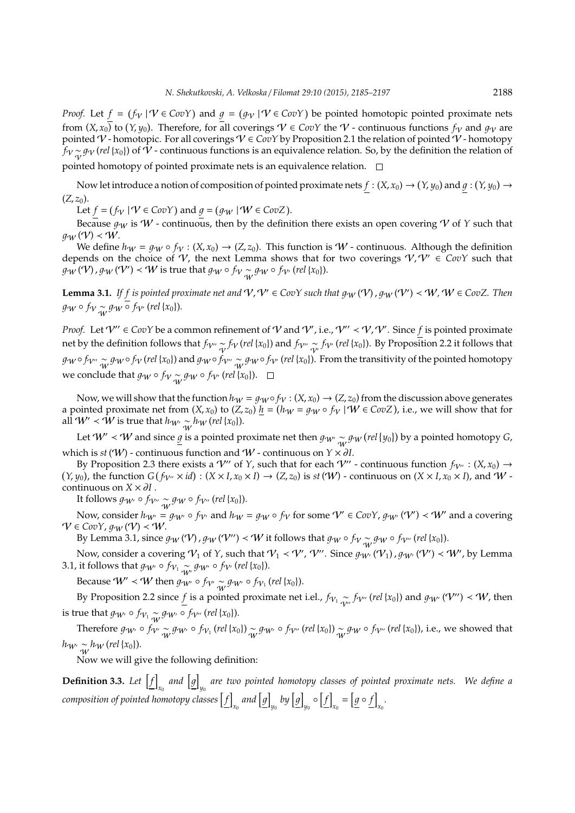*Proof.* Let  $f = (f_V | V \in CovY)$  and  $g = (g_V | V \in CovY)$  be pointed homotopic pointed proximate nets from  $(X, x_0)$  to  $(Y, y_0)$ . Therefore, for all coverings  $\mathcal{V} \in CovY$  the  $\mathcal{V}$  - continuous functions  $f_V$  and  $g_V$  are pointed  $\mathcal V$  - homotopic. For all coverings  $\mathcal V\in CovY$  by Proposition 2.1 the relation of pointed  $\mathcal V$  - homotopy *f*<sub>V</sub> ~ *g*<sub>V</sub> (*rel* {*x*<sub>0</sub>}) of  $\hat{V}$  - continuous functions is an equivalence relation. So, by the definition the relation of pointed homotopy of pointed proximate nets is an equivalence relation.  $\square$ 

Now let introduce a notion of composition of pointed proximate nets  $f : (X, x_0) \to (Y, y_0)$  and  $g : (Y, y_0) \to (Y, y_0)$  $(Z, z_0)$ .

Let  $f = (f_V | V \in CovY)$  and  $g = (g_W | W \in CovZ)$ .

Because  $g_W$  is  $W$  - continuous, then by the definition there exists an open covering V of *Y* such that  $q_W(V) \prec W$ .

We define  $h_W = g_W \circ f_V : (X, x_0) \to (Z, z_0)$ . This function is W - continuous. Although the definition depends on the choice of V, the next Lemma shows that for two coverings  $V, V' \in \overline{CovY}$  such that  $g_{\mathcal{W}}(\mathcal{V})$  ,  $g_{\mathcal{W}}(\mathcal{V'}) < \mathcal{W}$  is true that  $g_{\mathcal{W}} \circ f_{\mathcal{V}} \underset{\mathcal{W}}{\sim} g_{\mathcal{W}} \circ f_{\mathcal{V'}}$  (rel {x<sub>0</sub>}).

**Lemma 3.1.** If f is pointed proximate net and  $V, V' \in CovY$  such that  $g_W(V)$ ,  $g_W(V') < W, W \in CovZ$ . Then  $g_W \circ f_V \mathop{\sim}\limits_W g_W \mathop{\circ}\limits^\frown f_{V'}$  (rel {x<sub>0</sub>}).

*Proof.* Let  $V'' \in CovY$  be a common refinement of V and V', i.e.,  $V'' \prec V$ , V'. Since f is pointed proximate net by the definition follows that  $f_{V''}\frac{1}{V}f_V$  (*rel* {*x*<sub>0</sub>}) and  $f_{V''}\frac{1}{V}f_{V'}$  (*rel* {*x*<sub>0</sub>}). By Proposition 2.2 it follows that *gw* ∘ *f*<sub>V''</sub>  $\frac{1}{W}$  *gw* ∘ *f*v (*rel* {*x*<sub>0</sub>}) and *gw* ∘ *f*<sub>V''</sub>  $\frac{1}{W}$  *gw* ∘ *f*<sub>V'</sub> (*rel* {*x*<sub>0</sub>}). From the transitivity of the pointed homotopy we conclude that  $g_W \circ f_V \sim_{W} g_W \circ f_{V'}$  (*rel* {*x*<sub>0</sub>}).

Now, we will show that the function  $h_W = q_W \circ f_V : (X, x_0) \to (Z, z_0)$  from the discussion above generates a pointed proximate net from  $(X, x_0)$  to  $(Z, z_0)$   $\underline{h} = (h_W = g_W \circ f_V | W \in CovZ)$ , i.e., we will show that for all  $W'$  <  $\hat{W}$  is true that  $h_{W'}$   $\frac{1}{W}$  h<sub>*W*</sub> (*rel* {*x*<sub>0</sub>}).

Let  $W' \prec W$  and since  $g$  is a pointed proximate net then  $g_{W'} \sim g_W$  (rel  $\{y_0\}$ ) by a pointed homotopy *G*, which is *st* (*W*) - continuous function and *W* - continuous on *Y* ×  $\partial$ *I*.

By Proposition 2.3 there exists a  $V''$  of *Y*, such that for each  $V''$  - continuous function  $f_{V''}$  :  $(X, x_0) \rightarrow$  $(Y, y_0)$ , the function  $G(f_{\mathcal{V}''} \times id) : (X \times I, x_0 \times I) \to (Z, z_0)$  is st  $(\mathcal{W})$  - continuous on  $(X \times I, x_0 \times I)$ , and  $\mathcal{W}$  continuous on  $X \times \partial I$ .

It follows  $g_{W'} \circ f_{V''} \underset{W}{\sim} g_W \circ f_{V''}$  (*rel* {*x*<sub>0</sub>}).

Now, consider  $h_{W'} = g_{W'} \circ f_{V'}$  and  $h_W = g_W \circ f_V$  for some  $V' \in CovY$ ,  $g_{W'}(V') \prec W'$  and a covering  $V \in CovY, g_W(V) \prec W$ .

By Lemma 3.1, since  $g_W(V)$  ,  $g_W(V'') < W$  it follows that  $g_W \circ f_V \sim_{W} g_W \circ f_{V''}(rel\{x_0\}).$ 

Now, consider a covering  $\mathcal{V}_1$  of  $Y$ , such that  $\mathcal{V}_1\prec\mathcal{V}'$ ,  $\mathcal{V}''$ . Since  $g_{W'}(\mathcal{V}_1)$  ,  $g_{W'}(\mathcal{V}')<\mathcal{W}'$ , by Lemma 3.1, it follows that  $g_{W'} \circ f_{V_1} \sim_{W'} g_{W'} \circ f_{V'}$  (*rel* {*x*<sub>0</sub>}).

Because  $W' \prec W$  then  $g_{W'} \circ f_{V'} \sim g_{W'} \circ f_{V_1}$  (*rel* {*x*<sub>0</sub>}).

By Proposition 2.2 since  $f$  is a pointed proximate net i.el.,  $f_{V_1} \sim_{V''} f_{V''}(rel\{x_0\})$  and  $g_{W'}(V'') \prec W$ , then is true that  $g_{W'} \circ f_{V_1} \sim g_{W'} \circ f_{V''}(rel\{x_0\}).$ 

Therefore  $g_{W'} \circ f_{W'} \sim g_{W'} \circ f_{V_1}$  (*rel* {*x*<sub>0</sub>})  $\sim_{W} g_{W'} \circ f_{V''}$  (*rel* {*x*<sub>0</sub>}),  $\sim_{W} g_{W'} \circ f_{V''}$  (*rel* {*x*<sub>0</sub>}), i.e., we showed that  $h_{W'} \sim_W h_W$  (*rel* {*x*<sub>0</sub>}).

Now we will give the following definition:

**Definition 3.3.** Let  $\left[ f \right]$  $\begin{bmatrix} x_0 \end{bmatrix}$  and  $\begin{bmatrix} g \end{bmatrix}$ *y*0 *are two pointed homotopy classes of pointed proximate nets. We define a* composition of pointed homotopy classes  $\left\lceil f\right\rceil$  $\begin{bmatrix} x_0 \end{bmatrix}$  and  $\begin{bmatrix} g \end{bmatrix}$  $\int_{y_0}$  by  $\left[g\right]$ *y*0  $\circ$   $[f]$  $\mathbf{g} = \left[ \underline{g} \circ \underline{f} \right]$ *x*0 *.*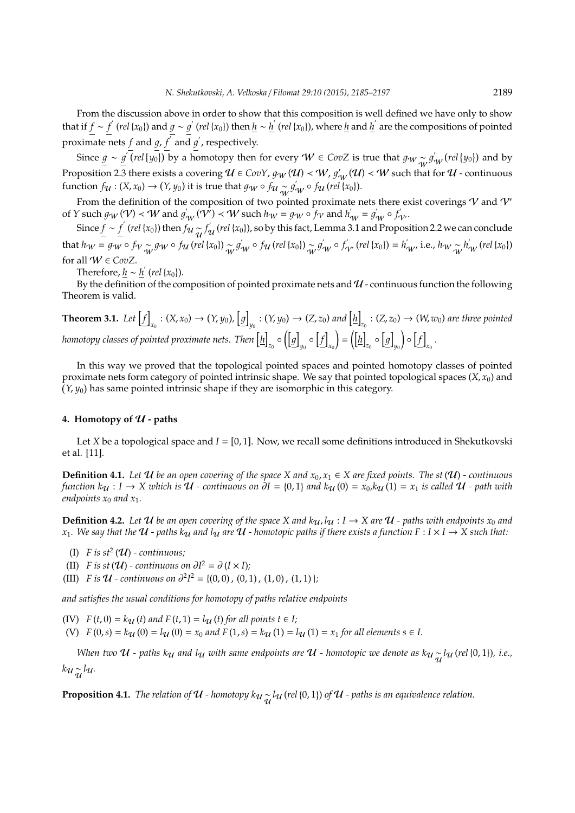From the discussion above in order to show that this composition is well defined we have only to show that if  $f \sim f'(rel\{x_0\})$  and  $g \sim g'(rel\{x_0\})$  then  $h \sim h'(rel\{x_0\})$ , where  $h$  and  $h'$  are the compositions of pointed proximate nets *f* and *g*,  $\overline{f}$  and  $\overline{g}'$ , respectively.

Since  $g \sim g^{\prime}$  *(rel* {y<sub>0</sub>}) by a homotopy then for every  $W \in CovZ$  is true that  $g_{W} \sim g'$  $f_{\mathcal{W}}^{'}$  (rel {y<sub>0</sub>}) and by Proposition 2.3 there exists a covering  $u\in$  CovY,  $g_W(u)$   $<$   $W$ ,  $g'_{_W}(u)$   $<$   $W$  such that for  $u$  - continuous function  $f_{\mathcal{U}} : (X, x_0) \to (Y, y_0)$  it is true that  $g_W \circ f_{\mathcal{U}} \sim g'_{W} \circ f_{\mathcal{U}} (\text{rel } \{x_0\}).$ 

From the definition of the composition of two pointed proximate nets there exist coverings  $V$  and  $V'$ of *Y* such  $g_W(V) < W$  and  $g'_W(V) < W$  such  $h_W = g_W \circ f_V$  and  $h'_W = g'_W \circ f'_W$ .

Since  $\underline{f} \sim \underline{f}'$  (*rel* {*x*<sub>0</sub>}) then  $f_{\mathcal{U}}\frac{d}{dt}f_{\mathcal{U}}'$  (*rel* {*x*<sub>0</sub>}), so by this fact, Lemma 3.1 and Proposition 2.2 we can conclude that  $h_W = g_W \circ f_V \sim g_W \circ f_H$  (rel {x<sub>0</sub>})  $\sim_W g_W' \circ f_H$  (rel {x<sub>0</sub>})  $\sim_W g_W' \circ f_W'$  (rel {x<sub>0</sub>}) =  $h_{W'}'$  i.e.,  $h_W \sim_W h_W'$  (rel {x<sub>0</sub>}) for all  $W \in CovZ$ .

Therefore,  $\underline{h} \sim \underline{h}'$  (*rel* {*x*<sub>0</sub>}).

By the definition of the composition of pointed proximate nets and  $U$  - continuous function the following Theorem is valid.

**Theorem 3.1.** Let  $\left[ f \right]$  $_{x_0}$  :  $(X, x_0) \to (Y, y_0), [\underline{g}]$  $y_0: (Y, y_0) \to (Z, z_0)$  and  $\left[\underline{h}\right]$  $Z_{\alpha}$  :  $(Z, z_0) \rightarrow (W, w_0)$  are three pointed homotopy classes of pointed proximate nets. Then  $[\underline{h}]$ <sub>z<sub>0</sub>  $\circ$   $\left(\left[\underline{g}\right]\right)$ </sub> *y*0 ◦ h *f* i *x*0  $= (\vert \underline{h} \vert)$ <sub>z<sub>0</sub></sub>  $\circ$   $\left[g\right]$ *y*0  $\circ$   $[f]$  $x_0$ .

In this way we proved that the topological pointed spaces and pointed homotopy classes of pointed proximate nets form category of pointed intrinsic shape. We say that pointed topological spaces (*X*, *x*0) and  $(Y, y_0)$  has same pointed intrinsic shape if they are isomorphic in this category.

## 4. Homotopy of  $U$  - paths

Let *X* be a topological space and  $I = [0, 1]$ . Now, we recall some definitions introduced in Shekutkovski et al. [11].

**Definition 4.1.** *Let*  $U$  *be an open covering of the space X and*  $x_0, x_1 \in X$  *are fixed points. The st*  $(U)$  *- continuous function*  $k_{\mathcal{U}}$  :  $I \to X$  which is  $\mathcal{U}$  *- continuous on*  $\partial I = \{0,1\}$  and  $k_{\mathcal{U}}(0) = x_0, k_{\mathcal{U}}(1) = x_1$  is called  $\mathcal{U}$  *- path with endpoints*  $x_0$  *and*  $x_1$ *.* 

**Definition 4.2.** Let  $U$  be an open covering of the space X and  $k_U, l_U : I \to X$  are  $U$  - paths with endpoints  $x_0$  and *x*<sub>1</sub>. We say that the  $U$  - paths  $k_U$  and  $l_U$  are  $U$  - homotopic paths if there exists a function  $F: I \times I \to X$  such that:

- (I)  $F$  is  $st^2(\mathcal{U})$  continuous;
- (II) *F* is st ( $U$ ) *-* continuous on  $\partial I^2 = \partial (I \times I)$ ;
- (III) *F* is  $U$  *-* continuous on  $\partial^2 I^2 = \{(0,0), (0,1), (1,0), (1,1)\};$

*and satisfies the usual conditions for homotopy of paths relative endpoints*

(IV)  $F(t, 0) = k_{\mathcal{U}}(t)$  and  $F(t, 1) = l_{\mathcal{U}}(t)$  for all points  $t \in I$ ;

(V)  $F(0,s) = k_U(0) = l_U(0) = x_0$  and  $F(1,s) = k_U(1) = l_U(1) = x_1$  for all elements  $s \in I$ .

*When two*  $U$  *- paths k<sub>U</sub> and l<sub>U</sub> with same endpoints are*  $U$  - homotopic we denote as k<sub>U</sub>  $\frac{1}{u}$  (rel {0,1}), i.e., *k*u~¦lu.

**Proposition 4.1.** *The relation of*  $u$  *- homotopy k* $u \sim u$  (*rel* {0, 1}) *of*  $u$  *- paths is an equivalence relation.*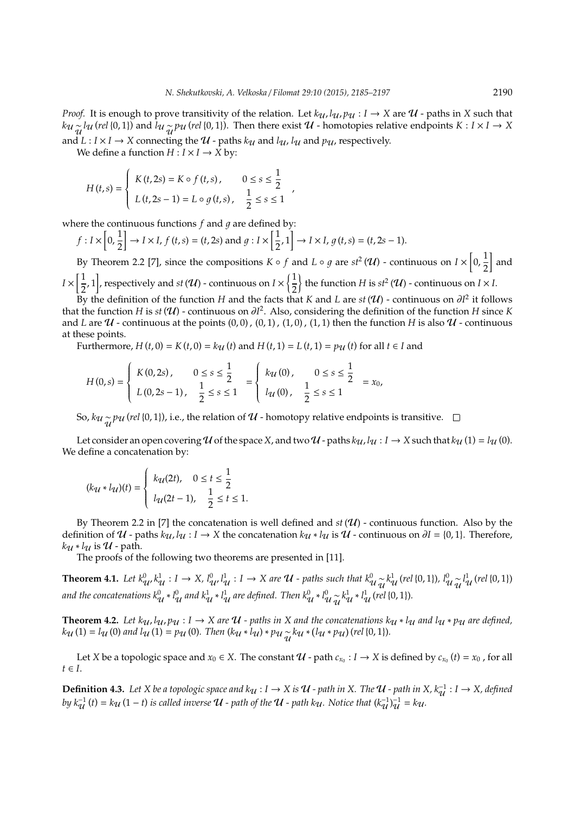*Proof.* It is enough to prove transitivity of the relation. Let  $k_{\mathcal{U}}$ ,  $l_{\mathcal{U}}$ ,  $p_{\mathcal{U}}$  :  $I \to X$  are  $\mathcal{U}$  - paths in *X* such that  $k_u \frac{1}{\mathcal{U}} \left( \text{rel} \{0,1\} \right)$  and  $\overline{l}_u \frac{1}{\mathcal{U}} \rho_u$  (*rel* {0, 1}). Then there exist  $\mathcal{U}$  - homotopies relative endpoints  $K: I \times I \to X$ and  $L: I \times I \rightarrow X$  connecting the  $U$  - paths  $k_U$  and  $l_U$ ,  $l_U$  and  $p_U$ , respectively.

,

We define a function  $H : I \times I \rightarrow \overline{X}$  by:

$$
H(t,s) = \begin{cases} K(t,2s) = K \circ f(t,s), & 0 \le s \le \frac{1}{2} \\ L(t,2s-1) = L \circ g(t,s), & \frac{1}{2} \le s \le 1 \end{cases}
$$

where the continuous functions  $f$  and  $g$  are defined by:

$$
f: I \times \left[0, \frac{1}{2}\right] \to I \times I, f(t, s) = (t, 2s) \text{ and } g: I \times \left[\frac{1}{2}, 1\right] \to I \times I, g(t, s) = (t, 2s - 1).
$$

By Theorem 2.2 [7], since the compositions  $K \circ f$  and  $L \circ g$  are  $st^2(\mathcal{U})$  - continuous on  $I \times \left[0, \frac{1}{2}\right]$ 2 and  $I \times \left[\frac{1}{2}\right]$ the function *H* is  $st^2(\mathcal{U})$  - continuous on *I*  $\times$  *I*.

 $\left(\frac{1}{2}, 1\right]$ , respectively and *st* (U) - continuous on  $I \times \left\{\frac{1}{2}, \frac{1}{2}\right\}$ 2 By the definition of the function *H* and the facts that *K* and *L* are  $st(\mathcal{U})$  - continuous on  $\partial l^2$  it follows

that the function *H* is *st* (U) - continuous on ∂*I* 2 . Also, considering the definition of the function *H* since *K* and *L* are  $U$  - continuous at the points  $(0,0)$ ,  $(0,1)$ ,  $(1,0)$ ,  $(1,1)$  then the function *H* is also  $U$  - continuous at these points.

*Furthermore,*  $H(t, 0) = K(t, 0) = k<sub>U</sub>(t)$  *and*  $H(t, 1) = L(t, 1) = p<sub>U</sub>(t)$  *for all*  $t ∈ I$  *and* 

$$
H(0,s) = \begin{cases} K(0,2s), & 0 \le s \le \frac{1}{2} \\ L(0,2s-1), & \frac{1}{2} \le s \le 1 \end{cases} = \begin{cases} k_{\mathcal{U}}(0), & 0 \le s \le \frac{1}{2} \\ l_{\mathcal{U}}(0), & \frac{1}{2} \le s \le 1 \end{cases} = x_0,
$$

So,  $k_{\mathcal{U}}$   $\sim_{\mathcal{U}}$   $p_{\mathcal{U}}$  (*rel* {0, 1}), i.e., the relation of  $\mathcal{U}$  - homotopy relative endpoints is transitive.

Let consider an open covering U of the space X, and two U - paths  $k_{\mathcal{U}}$ ,  $l_{\mathcal{U}}$  :  $I \to X$  such that  $k_{\mathcal{U}}(1) = l_{\mathcal{U}}(0)$ . We define a concatenation by:

$$
(k_{\mathcal{U}} * l_{\mathcal{U}})(t) = \begin{cases} k_{\mathcal{U}}(2t), & 0 \le t \le \frac{1}{2} \\ l_{\mathcal{U}}(2t-1), & \frac{1}{2} \le t \le 1. \end{cases}
$$

By Theorem 2.2 in [7] the concatenation is well defined and  $st(\mathcal{U})$  - continuous function. Also by the definition of  $U$  - paths  $k_{U}$ ,  $l_{U}$  :  $I \rightarrow X$  the concatenation  $k_{U} * l_{U}$  is  $U$  - continuous on  $\partial I = \{0, 1\}$ . Therefore,  $k_{\mathcal{U}} * l_{\mathcal{U}}$  is  $\mathcal{U}$  - path.

The proofs of the following two theorems are presented in [11].

**Theorem 4.1.** Let  $k_{\mathcal{U}}^0, k_{\mathcal{U}}^1 : I \to X$ ,  $l_{\mathcal{U}}^0, l_{\mathcal{U}}^1 : I \to X$  are  $\mathcal{U}$  - paths such that  $k_{\mathcal{U}}^0, \tilde{\chi}_{\mathcal{U}}^1$  (rel {0, 1}),  $l_{\mathcal{U}}^0, \tilde{\chi}_{\mathcal{U}}^1$  (rel {0, 1}) and the concatenations  $k_{\mathcal{U}}^0 * l_{\mathcal{U}}^0$  and  $k_{\mathcal{U}}^1 * l_{\mathcal{U}}^1$  are defined. Then  $k_{\mathcal{U}}^0 * l_{\mathcal{U}}^0 \widetilde{_{\mathcal{U}}} k_{\mathcal{U}}^1 * l_{\mathcal{U}}^1$  (rel {0, 1}).

**Theorem 4.2.** Let  $k_u$ ,  $l_u$ ,  $p_u: I \to X$  are  $U$  - paths in X and the concatenations  $k_u * l_u$  and  $l_u * p_u$  are defined,  $k_{\mathcal{U}}(1) = l_{\mathcal{U}}(0)$  and  $l_{\mathcal{U}}(1) = p_{\mathcal{U}}(0)$ . Then  $(k_{\mathcal{U}} * l_{\mathcal{U}}) * p_{\mathcal{U}} \underset{\mathcal{U}}{\sim} k_{\mathcal{U}} * (l_{\mathcal{U}} * p_{\mathcal{U}})$  (rel {0, 1}).

Let *X* be a topologic space and  $x_0 \in X$ . The constant  $U$  - path  $c_{x_0} : I \to X$  is defined by  $c_{x_0}(t) = x_0$ , for all  $t \in I$ .

**Definition 4.3.** Let *X* be a topologic space and  $k$ <sup>U</sup> : *I* → *X* is **U** - path in *X*. The **U** - path in *X*,  $k_{\mathcal{U}}^{-1}: I \rightarrow X$ , defined *by*  $k_{\mathcal{U}}^{-1}(t) = k_{\mathcal{U}}(1-t)$  *is called inverse*  $\mathcal{U}$  *- path of the*  $\mathcal{U}$  *- path k* $\mu$ *. Notice that*  $(k_{\mathcal{U}}^{-1})_{\mathcal{U}}^{-1} = k_{\mathcal{U}}$ *.*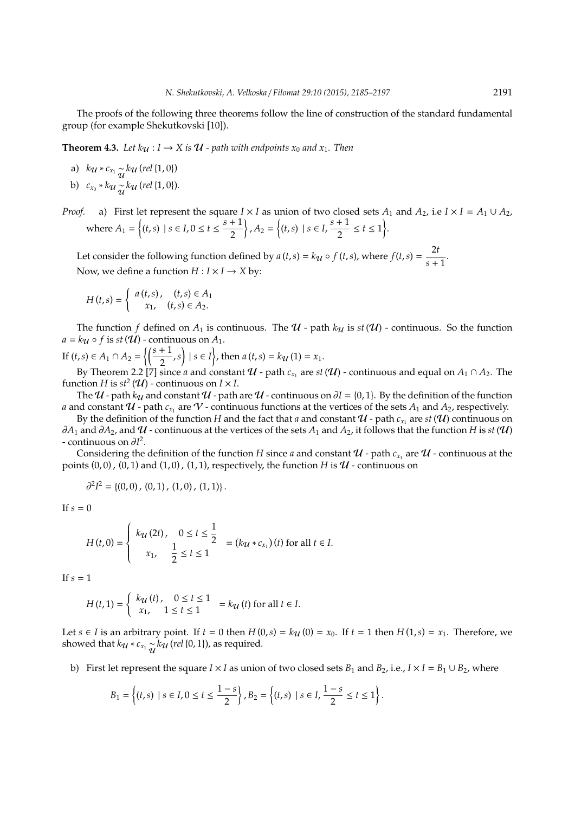The proofs of the following three theorems follow the line of construction of the standard fundamental group (for example Shekutkovski [10]).

**Theorem 4.3.** *Let*  $k_{\mathcal{U}}$  :  $I \rightarrow X$  *is*  $\mathcal{U}$  *- path with endpoints*  $x_0$  *and*  $x_1$ *. Then* 

- a)  $k_{\mathcal{U}} * c_{x_1} \frac{1}{\mathcal{U}} k_{\mathcal{U}}$  (rel {1, 0})
- b)  $c_{x_0} * k_u \sim_k k_u$  (*rel* {1, 0}).
- *Proof.* a) First let represent the square  $I \times I$  as union of two closed sets  $A_1$  and  $A_2$ , i.e  $I \times I = A_1 \cup A_2$ , where  $A_1 = \{(t, s) \mid s \in I, 0 \le t \le \frac{s+1}{2}\}$ 2  $\left\{ A_2 = \left\{ (t,s) \mid s \in I, \frac{s+1}{2} \right\}$  $\frac{+1}{2} \le t \le 1$ .

Let consider the following function defined by  $a(t,s) = k\mathbf{u} \circ f(t,s)$ , where  $f(t,s) = \frac{2t}{s}$  $\frac{1}{s+1}$ . Now, we define a function  $H: I \times I \rightarrow X$  by:

$$
H(t,s) = \begin{cases} a(t,s), & (t,s) \in A_1 \\ x_1, & (t,s) \in A_2. \end{cases}
$$

The function *f* defined on  $A_1$  is continuous. The  $U$  - path  $k_U$  is  $st(U)$  - continuous. So the function  $a = k\mathbf{u} \circ f$  is  $st(\mathbf{U})$  - continuous on  $A_1$ .

If 
$$
(t,s) \in A_1 \cap A_2 = \left\{ \left( \frac{s+1}{2}, s \right) \mid s \in I \right\}
$$
, then  $a(t,s) = k\mathcal{U}(1) = x_1$ .  
By Theorem 2.2 [7] since *a* and constant *U* - path *c*, are st

By Theorem 2.2 [7] since *a* and constant  $U$  - path  $c_{x_1}$  are  $st(U)$  - continuous and equal on  $A_1 \cap A_2$ . The function *H* is  $st^2(\mathcal{U})$  - continuous on  $I \times I$ .

The  $U$  - path  $k_U$  and constant  $U$  - path are  $U$  - continuous on  $\partial I = \{0, 1\}$ . By the definition of the function *a* and constant  $U$  - path  $c_{x_1}$  are  $V$  - continuous functions at the vertices of the sets  $A_1$  and  $A_2$ , respectively.

By the definition of the function  $H$  and the fact that *a* and constant  $\mathcal U$  - path  $c_{x_1}$  are  $st(\mathcal U)$  continuous on *∂A*<sub>1</sub> and ∂*A*<sub>2</sub>, and  $U$  - continuous at the vertices of the sets  $A_1$  and  $A_2$ , it follows that the function *H* is *st* ( $U$ ) - continuous on ∂*I* 2 .

Considering the definition of the function *H* since *a* and constant  $\mathcal U$  - path  $c_{x_1}$  are  $\mathcal U$  - continuous at the points  $(0, 0)$ ,  $(0, 1)$  and  $(1, 0)$ ,  $(1, 1)$ , respectively, the function *H* is  $U$  - continuous on

$$
\partial^2 I^2 = \{(0,0), (0,1), (1,0), (1,1)\}.
$$

If  $s = 0$ 

$$
H(t,0) = \begin{cases} k_{\mathcal{U}}(2t), & 0 \leq t \leq \frac{1}{2} \\ x_1, & \frac{1}{2} \leq t \leq 1 \end{cases} = (k_{\mathcal{U}} * c_{x_1})(t) \text{ for all } t \in I.
$$

If  $s = 1$ 

$$
H(t,1) = \begin{cases} k_{\mathcal{U}}(t), & 0 \le t \le 1 \\ x_1, & 1 \le t \le 1 \end{cases} = k_{\mathcal{U}}(t) \text{ for all } t \in I.
$$

Let *s* ∈ *I* is an arbitrary point. If *t* = 0 then *H* (0,*s*) =  $k$ <sub>*U*</sub> (0) =  $x$ <sub>0</sub>. If *t* = 1 then *H* (1,*s*) =  $x$ <sub>1</sub>. Therefore, we showed that  $k_{\mathcal{U}} * c_{x_1} \frac{1}{\mathcal{U}} k_{\mathcal{U}}$  (*rel* {0, 1}), as required.

b) First let represent the square  $I \times I$  as union of two closed sets  $B_1$  and  $B_2$ , i.e.,  $I \times I = B_1 \cup B_2$ , where

$$
B_1 = \left\{ (t,s) \mid s \in I, 0 \le t \le \frac{1-s}{2} \right\}, B_2 = \left\{ (t,s) \mid s \in I, \frac{1-s}{2} \le t \le 1 \right\}.
$$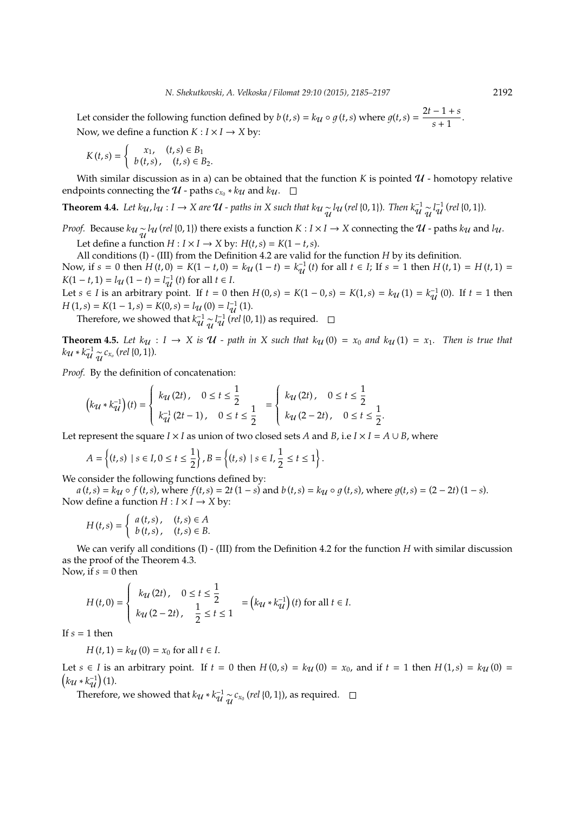Let consider the following function defined by  $b(t,s) = k\mathbf{u} \circ g(t,s)$  where  $g(t,s) = \frac{2t-1+s}{s+1}$  $\frac{1}{s+1}$ . Now, we define a function  $K: I \times I \rightarrow X$  by:

$$
K(t,s) = \begin{cases} x_1, & (t,s) \in B_1 \\ b(t,s), & (t,s) \in B_2. \end{cases}
$$

With similar discussion as in a) can be obtained that the function K is pointed  $\mathcal{U}$  - homotopy relative endpoints connecting the  $U$  - paths  $c_{x_0} * k_{\mathcal{U}}$  and  $k_{\mathcal{U}}$ .

**Theorem 4.4.** Let  $k_{\mathcal{U}}$ ,  $l_{\mathcal{U}}$  : *I* → *X* are  $\mathcal{U}$  - paths in *X* such that  $k_{\mathcal{U}} \sim_{\mathcal{U}} l_{\mathcal{U}}$  (rel {0,1}). Then  $k_{\mathcal{U}}^{-1} \sim_{\mathcal{U}} l_{\mathcal{U}}^{-1}$  (rel {0,1}).

*Proof.* Because  $k_{\mathcal{U}} \sim_{\mathcal{U}} l_{\mathcal{U}}$  (*rel* {0, 1}) there exists a function  $K : I \times I \to X$  connecting the  $\mathcal{U}$  - paths  $k_{\mathcal{U}}$  and  $l_{\mathcal{U}}$ .

Let define a function *H* : *I* × *I* → *X* by: *H*(*t*,*s*) = *K*(1 − *t*,*s*).

All conditions (I) - (III) from the Definition 4.2 are valid for the function *H* by its definition.

Now, if  $s = 0$  then  $H(t, 0) = K(1 - t, 0) = k\mathcal{U}(1 - t) = k\mathcal{U}(1 - t)$  for all  $t \in I$ ; If  $s = 1$  then  $H(t, 1) = H(t, 1) =$  $K(1 - t, 1) = l_{\mathcal{U}}(1 - t) = l_{\mathcal{U}}^{-1}(t)$  for all  $t \in I$ .

Let *s* ∈ *I* is an arbitrary point. If *t* = 0 then *H* (0,*s*) = *K*(1 − 0,*s*) = *K*(1,*s*) = *k*<sub>U</sub> (1) =  $k_{\text{U}}^{-1}$  (0). If *t* = 1 then  $H(1,s) = K(1-1,s) = K(0,s) = l_{\mathcal{U}}(0) = l_{\mathcal{U}}^{-1}(1).$ 

Therefore, we showed that  $k_{\mathcal{U}}^{-1} \sim l_{\mathcal{U}}^{-1}$  (*rel* {0, 1}) as required.

**Theorem 4.5.** Let  $k_{\mathcal{U}}$  :  $I \rightarrow X$  is  $\mathcal{U}$  - path in X such that  $k_{\mathcal{U}}(0) = x_0$  and  $k_{\mathcal{U}}(1) = x_1$ . Then is true that  $k_{\mathcal{U}} * k_{\mathcal{U}}^{-1} \underset{\mathcal{U}}{\sim} c_{x_o}$  (rel {0, 1}).

*Proof.* By the definition of concatenation:

$$
\left(k_{\mathcal{U}} * k_{\mathcal{U}}^{-1}\right)(t) = \begin{cases} k_{\mathcal{U}}(2t), & 0 \le t \le \frac{1}{2} \\ k_{\mathcal{U}}^{-1}(2t-1), & 0 \le t \le \frac{1}{2} \end{cases} = \begin{cases} k_{\mathcal{U}}(2t), & 0 \le t \le \frac{1}{2} \\ k_{\mathcal{U}}(2-2t), & 0 \le t \le \frac{1}{2} \end{cases}.
$$

Let represent the square *I* × *I* as union of two closed sets *A* and *B*, i.e  $I \times I = A \cup B$ , where

$$
A = \left\{ (t,s) \mid s \in I, 0 \le t \le \frac{1}{2} \right\}, B = \left\{ (t,s) \mid s \in I, \frac{1}{2} \le t \le 1 \right\}.
$$

We consider the following functions defined by:

 $a(t,s) = k<sub>U</sub> \circ f(t,s)$ , where  $f(t,s) = 2t(1-s)$  and  $b(t,s) = k<sub>U</sub> \circ g(t,s)$ , where  $g(t,s) = (2-2t)(1-s)$ . Now define a function  $H: I \times I \rightarrow X$  by:

$$
H(t,s) = \begin{cases} a(t,s), & (t,s) \in A \\ b(t,s), & (t,s) \in B. \end{cases}
$$

We can verify all conditions (I) - (III) from the Definition 4.2 for the function *H* with similar discussion as the proof of the Theorem 4.3. Now, if  $s = 0$  then

$$
H(t,0) = \begin{cases} k_{\mathcal{U}}(2t), & 0 \le t \le \frac{1}{2} \\ k_{\mathcal{U}}(2-2t), & \frac{1}{2} \le t \le 1 \end{cases} = (k_{\mathcal{U}} * k_{\mathcal{U}}^{-1})(t) \text{ for all } t \in I.
$$

If  $s = 1$  then

 $H(t, 1) = k_{11}(0) = x_0$  for all  $t \in I$ .

Let  $s \in I$  is an arbitrary point. If  $t = 0$  then  $H(0, s) = k<sub>U</sub>(0) = x<sub>0</sub>$ , and if  $t = 1$  then  $H(1, s) = k<sub>U</sub>(0) =$  $k_{\mathcal{U}} * k_{\mathcal{U}}^{-1}$  (1).

Therefore, we showed that  $k_{\mathcal{U}} * k_{\mathcal{U}}^{-1} \underset{\mathcal{U}}{\sim} c_{x_0}$  (*rel* {0, 1}), as required.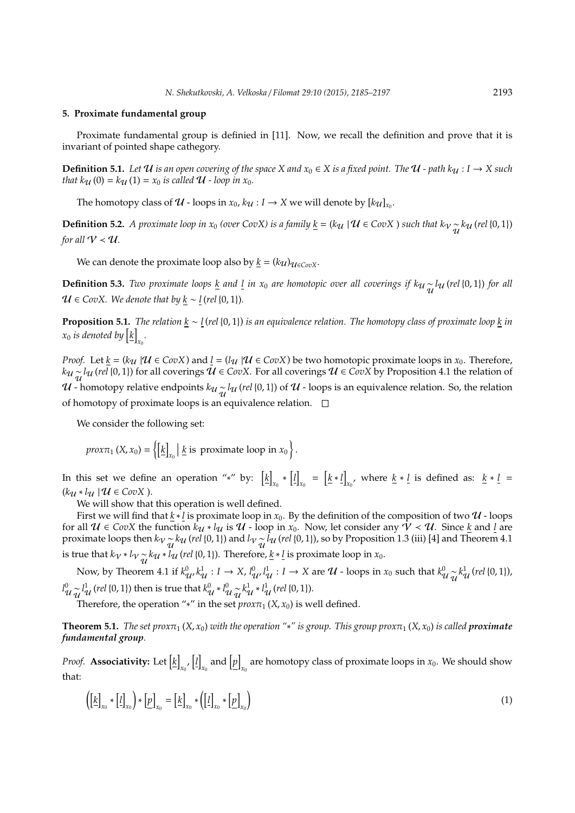### **5. Proximate fundamental group**

Proximate fundamental group is definied in [11]. Now, we recall the definition and prove that it is invariant of pointed shape cathegory.

**Definition 5.1.** *Let*  $U$  *is an open covering of the space*  $X$  *and*  $x_0 \in X$  *is a fixed point. The*  $U$  - *path*  $k_U : I \to X$  *such that*  $k_{\mathcal{U}}(0) = k_{\mathcal{U}}(1) = x_0$  *is called*  $\mathcal{U}$  *- loop in*  $x_0$ *.* 

The homotopy class of  $U$  - loops in  $x_0$ ,  $k_{U}: I \rightarrow X$  we will denote by  $[k_{U}]_{x_0}$ .

**Definition 5.2.** *A proximate loop in*  $x_0$  *(over CovX) is a family*  $\underline{k} = (k_{\mathcal{U}} \mid \mathcal{U} \in CovX)$  *such that*  $k_{\mathcal{V}} \sim_{\mathcal{U}} k_{\mathcal{U}}$  (rel {0, 1}) *for all*  $V < U$ .

We can denote the proximate loop also by  $k = (k\mathcal{U})_{\mathcal{U} \in \mathcal{C}_{\text{OD}}X}$ .

**Definition 5.3.** *Two proximate loops*  $\underline{k}$  *and*  $\underline{l}$  *in*  $x_0$  *are homotopic over all coverings if*  $k_u \frac{1}{u}$  (*rel* {0, 1}) *for all*  $U ∈ CovX$ *. We denote that by k* ∼ *l* (*rel* {0, 1})*.* 

**Proposition 5.1.** *The relation k* ∼ *l* (*rel* {0, 1}) *is an equivalence relation. The homotopy class of proximate loop k in*  $x_0$  *is denoted by*  $\left[\underline{k}\right]$ *x*0 *.*

*Proof.* Let  $\underline{k} = (k_{\mathcal{U}} | \mathcal{U} \in CovX)$  and  $\underline{l} = (l_{\mathcal{U}} | \mathcal{U} \in CovX)$  be two homotopic proximate loops in  $x_0$ . Therefore, *k*<sub>U</sub> ∼ *l*<sub>U</sub> (*rel* {0, 1}) for all coverings  $\bar{U}$  ∈ *CovX*. For all coverings  $U$  ∈ *CovX* by Proposition 4.1 the relation of  $U$  - homotopy relative endpoints  $k_U \sim_{U} \{u \mid (rel\{0,1\})\}$  of  $U$  - loops is an equivalence relation. So, the relation of homotopy of proximate loops is an equivalence relation.  $\square$ 

We consider the following set:

*proxπ*<sub>1</sub> (*X, x*<sub>0</sub>) =  $\left\{ \left[ \underline{k} \right] \right\}$ *x*0  $\left| \underline{k} \right|$  is proximate loop in  $x_0$ .

In this set we define an operation "\*" by:  $\left[\underline{k}\right]$ <sub>*x*<sup>0</sup></sub> ∗ [*l*]  $\kappa_0 = \left[ \underline{k} * \underline{l} \right]$ *x*<sub>0</sub>, where <u>*k* ∗ *l*</u> is defined as: <u>*k* ∗ *l*</u> =  $(k_{\mathcal{U}} * l_{\mathcal{U}} | \mathcal{U} \in CovX)$ .

We will show that this operation is well defined.

First we will find that  $k * l$  is proximate loop in  $x_0$ . By the definition of the composition of two  $U$  - loops for all  $U \in CovX$  the function  $k_{U} * l_{U}$  is  $U$  - loop in  $x_0$ . Now, let consider any  $V \prec U$ . Since  $k$  and  $l$  are proximate loops then  $k_V \frac{1}{\mathcal{U}} k_U$  (*rel* {0, 1}) and  $l_V \frac{1}{\mathcal{U}} l_U$  (*rel* {0, 1}), so by Proposition 1.3 (iii) [4] and Theorem 4.1 is true that  $k_V * l_V \sim k_U * l_U$  (*rel* {0, 1}). Therefore, <u>*k*</u>  $\cdot$  *l* is proximate loop in *x*<sub>0</sub>.

Now, by Theorem 4.1 if  $k_{\mathcal{U}}^0$ ,  $k_{\mathcal{U}}^1$  : *I* → *X*,  $l_{\mathcal{U}}^0$ ,  $l_{\mathcal{U}}^1$  : *I* → *X* are  $\mathcal{U}$  - loops in  $x_0$  such that  $k_{\mathcal{U}}^0$   $\underset{\mathcal{U}}{\sim} k_{\mathcal{U}}^1$  (*rel* {0, 1}),  $l^0_{\cal U}\frac{1}{\tilde{\cal U}}l^1_{\cal U}$  *(rel* {0, 1}) then is true that  $k^0_{\cal U}*l^0_{\cal U}\frac{1}{\tilde{\cal U}}k^1_{\cal U}*l^1_{\cal U}$  *(rel* {0, 1}).

Therefore, the operation "\*" in the set  $prox\pi_1(X, x_0)$  is well defined.

**Theorem 5.1.** *The set prox* $\pi_1$  (*X*, *x*<sub>0</sub>) *with the operation* "\*" *is group. This group prox* $\pi_1$  (*X*, *x*<sub>0</sub>) *is called proximate fundamental group.*

*Proof.* **Associativity:** Let  $\left[\underline{k}\right]$  $\left[\mu\right]$  $\mathbf{r}_0$  and  $\left[\underline{p}\right]$ are homotopy class of proximate loops in  $x_0$ . We should show that:

$$
\left(\left[\underline{k}\right]_{x_0} * \left[\underline{l}\right]_{x_0}\right) * \left[\underline{p}\right]_{x_0} = \left[\underline{k}\right]_{x_0} * \left(\left[\underline{l}\right]_{x_0} * \left[\underline{p}\right]_{x_0}\right) \tag{1}
$$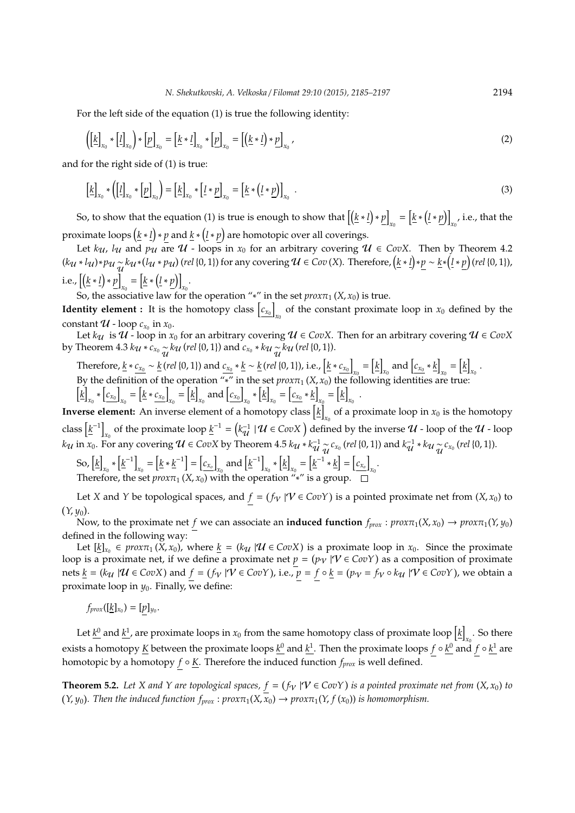For the left side of the equation (1) is true the following identity:

$$
\left(\left[\underline{k}\right]_{x_0} * \left[\underline{l}\right]_{x_0}\right) * \left[\underline{p}\right]_{x_0} = \left[\underline{k} * \underline{l}\right]_{x_0} * \left[\underline{p}\right]_{x_0} = \left[\left(\underline{k} * \underline{l}\right) * \underline{p}\right]_{x_0},\tag{2}
$$

and for the right side of (1) is true:

$$
\left[\underline{k}\right]_{x_0} * \left(\left[\underline{l}\right]_{x_0} * \left[\underline{p}\right]_{x_0}\right) = \left[\underline{k}\right]_{x_0} * \left[\underline{l} * \underline{p}\right]_{x_0} = \left[\underline{k} * \left(\underline{l} * \underline{p}\right)\right]_{x_0} \tag{3}
$$

So, to show that the equation (1) is true is enough to show that  $\left\lceil \left( \underline{k} * \underline{l} \right) * p \right\rceil$  $\mathbf{r}_0 = \left[ \underline{k} * \left( \underline{l} * \underline{p} \right) \right]$  $_{x_0}$ , i.e., that the proximate loops  $(\underline{k} * \underline{l}) * p$  and  $\underline{k} * (\underline{l} * p)$  are homotopic over all coverings.

Let  $k_{\mathcal{U}}$ ,  $l_{\mathcal{U}}$  and  $p_{\mathcal{U}}$  are  $\mathcal{U}$  - loops in  $x_0$  for an arbitrary covering  $\mathcal{U} \in CovX$ . Then by Theorem 4.2  $(ku * l_u) * p_u \underset{u}{\sim} k_u * (l_u * p_u)$  (rel {0, 1}) for any covering  $u \in Cov(X)$ . Therefore,  $(\underline{k} * \underline{l}) * \underline{p} \sim \underline{k} * (\underline{l} * \underline{p})$  (rel {0, 1}), i.e.,  $[(\underline{k} * \underline{l}) * p]$  $\mathbf{r}_0 = \left[ \underline{k} * \left( \underline{l} * \underline{p} \right) \right]$  $x_0$ <sup>.</sup>

So, the associative law for the operation "\*" in the set  $prox\pi_1(X, x_0)$  is true.

**Identity element :** It is the homotopy class  $\begin{bmatrix} c_{x_0} \end{bmatrix}$  $\mathbf{x}_0$  of the constant proximate loop in  $\mathbf{x}_0$  defined by the constant  $U$  - loop  $c_{x_0}$  in  $x_0$ .

Let  $k_{\mathcal{U}}$  is  $\mathcal{U}$  - loop in  $x_0$  for an arbitrary covering  $\mathcal{U} \in CovX$ . Then for an arbitrary covering  $\mathcal{U} \in CovX$ by Theorem 4.3  $k_{\mathcal{U}} * c_{x_0} \frac{1}{\mathcal{U}} k_{\mathcal{U}}$  (*rel* {0, 1}) and  $c_{x_0} * k_{\mathcal{U}} \frac{1}{\mathcal{U}} k_{\mathcal{U}}$  (*rel* {0, 1}).

Therefore, <u> $k * c_{x_0} \sim k$ </u> (*rel* {0, 1}) and  $c_{x_0} * k \sim k$  (*rel* {0, 1}), i.e.,  $k * c_{x_0}$  $\boldsymbol{x}_0 = \left[\underline{k}\right]$  $\left[ c_{x_0} * \underline{k} \right]$  $\begin{bmatrix} x_0 \end{bmatrix} = \begin{bmatrix} k \end{bmatrix}$  $x_0$ . By the definition of the operation "\*" in the set  $prox\pi_1(X, x_0)$  the following identities are true:

 $\left[k\right]$  $\left[c_{x_0}\right]$  \*  $\left[c_{x_0}\right]$  $\kappa_0 = \left[ \underline{k} * \underline{c_{x_0}} \right]$  $\kappa_0 = \left[\underline{k}\right]$  $\alpha$ <sub>*x*0</sub></sub> and  $\boxed{c_{x_0}}$ *x*0 ∗ h *k* i  $\mathbf{r}_0 = \left[ c_{x_0} * \underline{k} \right]$  $\begin{bmatrix} x_0 \end{bmatrix} = \begin{bmatrix} k \end{bmatrix}$  $x_0$ .

**Inverse element:** An inverse element of a homotopy class  $\lfloor \frac{k}{2} \rfloor$  $\mathbf{x}_0$  of a proximate loop in  $\mathbf{x}_0$  is the homotopy class  $\left[\underline{k}^{-1}\right]$ *x*<sub>0</sub> of the proximate loop  $\underline{k}^{-1} = (k_{\mathcal{U}}^{-1} | \mathcal{U} \in CovX)$  defined by the inverse  $\mathcal{U}$  - loop of the  $\mathcal{U}$  - loop  $k_{\mathcal{U}}$  in  $x_0$ . For any covering  $\mathcal{U} \in CovX$  by Theorem 4.5  $k_{\mathcal{U}} * k_{\mathcal{U}}^{-1} \underset{\mathcal{U}}{\sim} c_{x_0}$  *(rel* {0, 1}) and  $k_{\mathcal{U}}^{-1} * k_{\mathcal{U}} \underset{\mathcal{U}}{\sim} c_{x_0}$  *(rel* {0, 1}).

So, [<u>k</u>]  $\kappa_0$  \*  $\left[ \underline{k}^{-1} \right]$  $\kappa_0 = \left[ \underline{k} * \underline{k}^{-1} \right] = \left[ \underline{c_{x_0}} \right]$  $\kappa_0$  and  $\left[\underline{k}^{-1}\right]$  $\kappa_0$   $*$   $\left[$  <u>k</u> $\right]$  $\mathbf{r}_0 = \left[\underline{k}^{-1} * \underline{k}\right] = \left[\underline{c_{x_0}}\right]$ *x*0 . Therefore, the set  $prox\pi_1(X, x_0)$  with the operation  $\mathscr{I}_*$ " is a group.

Let *X* and *Y* be topological spaces, and  $f = (f_V | V \in CovY)$  is a pointed proximate net from  $(X, x_0)$  to (*Y*, *y*<sub>0</sub>).

Now, to the proximate net *f* we can associate an **induced function**  $f_{prox}$  :  $prox\pi_1(X, x_0) \rightarrow prox\pi_1(Y, y_0)$ defined in the following way:

Let  $[\underline{k}]_{x_0} \in prox_{\tau_1}(X, x_0)$ , where  $\underline{k} = (k_{\mathcal{U}} | \mathcal{U} \in CovX)$  is a proximate loop in  $x_0$ . Since the proximate loop is a proximate net, if we define a proximate net  $p = (p_V | V \in CovY)$  as a composition of proximate nets  $\underline{k} = (k_{\mathcal{U}} | \mathcal{U} \in CovX)$  and  $f = (f_{\mathcal{V}} | \mathcal{V} \in CovY)$ , i.e.,  $\overline{p} = f \circ \underline{k} = (p_{\mathcal{V}} = f_{\mathcal{V}} \circ k_{\mathcal{U}} | \mathcal{V} \in CovY)$ , we obtain a proximate loop in  $y_0$ . Finally, we define:

 $f_{prox}([\underline{k}]_{x_0}) = [p]_{y_0}.$ 

Let  $\underline{k}^0$  and  $\underline{k}^1$ , are proximate loops in  $x_0$  from the same homotopy class of proximate loop  $\big[\underline{k}\big]$  $\int_{x_0}$ . So there exists a homotopy *K* between the proximate loops *k* <sup>0</sup> and *k* 1 . Then the proximate loops *f* ◦ *k* <sup>0</sup> and *f* ◦ *k* <sup>1</sup> are homotopic by a homotopy *f* ◦ *K*. Therefore the induced function *fprox* is well defined.

**Theorem 5.2.** Let X and Y are topological spaces,  $f = (f_V | V \in CovY)$  is a pointed proximate net from  $(X, x_0)$  to  $(Y, y_0)$ . Then the induced function  $f_{prox}$ :  $prox\pi_1(X, \overline{X}_0) \rightarrow prox\pi_1(Y, f(x_0))$  *is homomorphism.*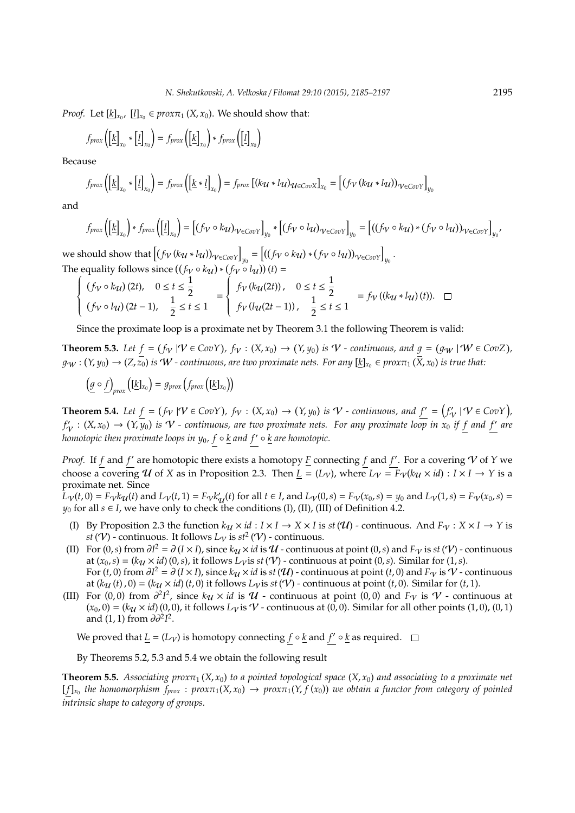*Proof.* Let  $[\underline{k}]_{x_0}$ ,  $[\underline{l}]_{x_0} \in prox_{1}(X, x_0)$ . We should show that:

$$
f_{prox}\left(\left[\underline{k}\right]_{x_0} * \left[\underline{l}\right]_{x_0}\right) = f_{prox}\left(\left[\underline{k}\right]_{x_0}\right) * f_{prox}\left(\left[\underline{l}\right]_{x_0}\right)
$$

Because

$$
f_{prox}\left(\left[k\right]_{x_0} * \left[l\right]_{x_0}\right) = f_{prox}\left(\left[k * l\right]_{x_0}\right) = f_{prox}\left[\left(ku * l\right)u_{\in CovX}\right]_{x_0} = \left[\left(f_V\left(ku * l\right)\right)_{V \in CovY}\right]_{y_0}
$$

and

$$
f_{prox}\left(\left[\underline{k}\right]_{x_0}\right) * f_{prox}\left(\left[\underline{l}\right]_{x_0}\right) = \left[\left(f_V \circ k_U\right)_{V \in Cov} \right]_{y_0} * \left[\left(f_V \circ l_U\right)_{V \in Cov} \right]_{y_0} = \left[\left(\left(f_V \circ k_U\right) * \left(f_V \circ l_U\right)\right)_{V \in Cov} \right]_{y_0}
$$

we should show that  $\left[ (f_V(ku * l_u))_{V \in CovY} \right]_{y_0} = \left[ ((f_V \circ k_u) * (f_V \circ l_u))_{V \in CovY} \right]_{y_0}$ . The equality follows since  $((f_V \circ k_U) * (f_V \circ l_U))(t) =$ 

$$
\begin{cases}\n(f_V \circ k_{\mathcal{U}})(2t), & 0 \le t \le \frac{1}{2} \\
(f_V \circ l_{\mathcal{U}})(2t-1), & \frac{1}{2} \le t \le 1\n\end{cases} = \begin{cases}\nf_V(k_{\mathcal{U}}(2t)), & 0 \le t \le \frac{1}{2} \\
f_V(l_{\mathcal{U}}(2t-1)), & \frac{1}{2} \le t \le 1\n\end{cases} = f_V((k_{\mathcal{U}} * l_{\mathcal{U}})(t)). \square
$$

Since the proximate loop is a proximate net by Theorem 3.1 the following Theorem is valid:

**Theorem 5.3.** Let  $f = (f_V | V \in CovY)$ ,  $f_V : (X, x_0) \to (Y, y_0)$  is  $V$  - continuous, and  $g = (g_W | W \in CovZ)$ ,  $g_W:(Y,y_0)\to (Z,\overline{z_0})$  is  $W$  - continuous, are two proximate nets. For any  $[\underline{k}]_{x_0}\in prox_{\tau_1}(\overline{X},x_0)$  is true that:

$$
\left(\underline{g} \circ \underline{f}\right)_{prox} \left( [\underline{k}]_{x_0} \right) = g_{prox} \left( f_{prox} \left( [\underline{k}]_{x_0} \right) \right)
$$

**Theorem 5.4.** Let  $f = (f_V | V \in CovY)$ ,  $f_V : (X, x_0) \to (Y, y_0)$  is  $V$  - continuous, and  $f' = (f_V | V \in CovY)$ ,  $f'_\mathcal{V}:(X,x_0)\to (Y,\overline{y}_0)$  is  $\mathcal{V}$  - continuous, are two proximate nets. For any proximate loop in  $x_0$  if f and f' are *homotopic then proximate loops in*  $y_0$ *,*  $f \circ k$  *and*  $f' \circ k$  *are homotopic.* 

*Proof.* If *f* and *f'* are homotopic there exists a homotopy  $\underline{F}$  connecting *f* and *f'*. For a covering  $V$  of  $Y$  we choose a covering U of X as in Proposition 2.3. Then  $L = (L_V)$ , where  $L_V = F_V(k_U \times id) : I \times I \rightarrow Y$  is a proximate net. Since

 $L_V(t,0) = F_V k_U(t)$  and  $L_V(t,1) = F_V k'_U(t)$  for all  $t \in I$ , and  $L_V(0,s) = F_V(x_0,s) = y_0$  and  $L_V(1,s) = F_V(x_0,s) =$ *y*<sub>0</sub> for all  $s \in I$ , we have only to check the conditions (I), (II), (III) of Definition 4.2.

- (I) By Proposition 2.3 the function  $k_{\mathcal{U}} \times id : I \times I \to X \times I$  is  $st(\mathcal{U})$  continuous. And  $F_V : X \times I \to Y$  is  $st(\mathcal{V})$  - continuous. It follows  $L_{\mathcal{V}}$  is  $st^2(\mathcal{V})$  - continuous.
- (II) For  $(0, s)$  from  $\partial I^2 = \partial (I \times I)$ , since  $k\mathcal{U} \times \mathcal{U}$  is  $\mathcal{U}$  continuous at point  $(0, s)$  and  $F_V$  is  $st(V)$  continuous at  $(x_0, s) = (k_{\mathcal{U}} \times id)$  (0,*s*), it follows  $L_{\mathcal{V}}$  is *st* ( $\mathcal{V}$ ) - continuous at point (0,*s*). Similar for (1,*s*). For  $(t,0)$  from  $\partial I^2 = \partial (I \times I)$ , since  $k\mathcal{U} \times id$  is  $st(\mathcal{U})$  - continuous at point  $(t,0)$  and  $F_V$  is  $\mathcal{V}$  - continuous at  $(k\mathcal{U}(t), 0) = (k\mathcal{U} \times id)(t, 0)$  it follows  $L_V$  is  $st(V)$  - continuous at point  $(t, 0)$ . Similar for  $(t, 1)$ .
- (III) For (0,0) from  $\partial^2 I^2$ , since  $k_{\mathcal{U}} \times id$  is  $\mathcal{U}$  continuous at point (0,0) and  $F_{\mathcal{V}}$  is  $\mathcal{V}$  continuous at  $(x_0, 0) = (k_{\mathcal{U}} \times id)$  (0, 0), it follows  $L_{\mathcal{V}}$  is  $\mathcal{V}$  - continuous at (0, 0). Similar for all other points (1, 0), (0, 1) and (1, 1) from  $\partial \partial^2 I^2$ .

We proved that  $\underline{L} = (L_V)$  is homotopy connecting  $f \circ \underline{k}$  and  $f' \circ \underline{k}$  as required.

By Theorems 5.2, 5.3 and 5.4 we obtain the following result

**Theorem 5.5.** *Associating prox* $\pi_1(X, x_0)$  *to a pointed topological space*  $(X, x_0)$  *and associating to a proximate net*  $[f]_{x_0}$  the homomorphism  $f_{prox}$ :  $prox\pi_1(X, x_0) \to prox\pi_1(Y, f(x_0))$  we obtain a functor from category of pointed *intrinsic shape to category of groups.*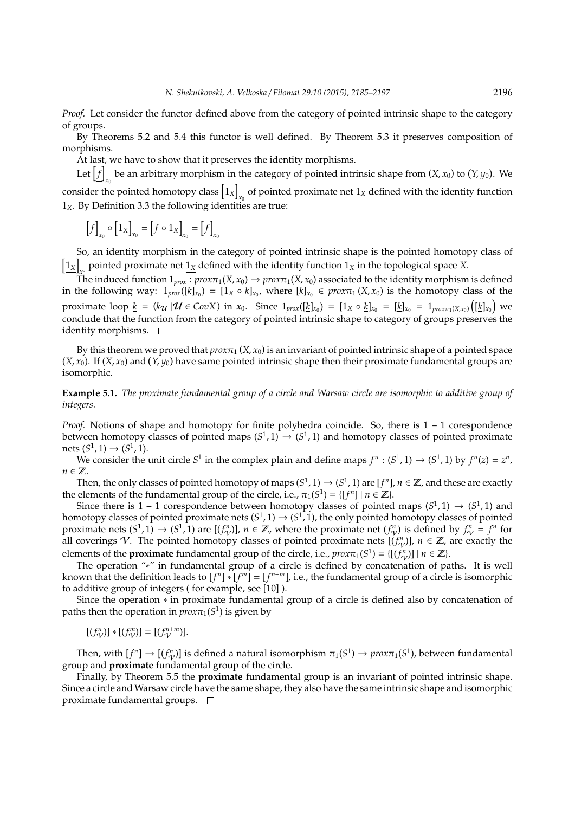*Proof.* Let consider the functor defined above from the category of pointed intrinsic shape to the category of groups.

By Theorems 5.2 and 5.4 this functor is well defined. By Theorem 5.3 it preserves composition of morphisms.

At last, we have to show that it preserves the identity morphisms.

Let  $\left[ f\right]$ be an arbitrary morphism in the category of pointed intrinsic shape from  $(X, x_0)$  to  $(Y, y_0)$ . We consider the pointed homotopy class  $\vert 1_{X} \vert$  $\frac{x_0}{x_0}$  of pointed proximate net  $\frac{1_X}{1}$  defined with the identity function 1*X*. By Definition 3.3 the following identities are true:

$$
\left[\underline{f}\right]_{x_0} \circ \left[\underline{1_X}\right]_{x_0} = \left[\underline{f} \circ \underline{1_X}\right]_{x_0} = \left[\underline{f}\right]_{x_0}
$$

So, an identity morphism in the category of pointed intrinsic shape is the pointed homotopy class of  $\left[1_{X}\right]$  $_{x_0}$  pointed proximate net  $\underline{1_X}$  defined with the identity function  $1_X$  in the topological space *X*.

The induced function  $1_{prox}$ :  $prox\pi_1(X, x_0) \rightarrow prox\pi_1(X, x_0)$  associated to the identity morphism is defined in the following way:  $1_{prox}([\underline{k}]_{x_0}) = [1_X \circ \underline{k}]_{x_0}$ , where  $[\underline{k}]_{x_0} \in prox_1(X, x_0)$  is the homotopy class of the proximate loop  $\underline{k} = (k_{\mathcal{U}} \mid \mathcal{U} \in CovX)$  in  $x_0$ . Since  $1_{prox}([\underline{k}]_{x_0}) = [\underline{1_X} \circ \underline{k}]_{x_0} = [\underline{k}]_{x_0} = 1_{prox\pi_1(X, x_0)}([\underline{k}]_{x_0})$  we conclude that the function from the category of pointed intrinsic shape to category of groups preserves the identity morphisms.  $\square$ 

By this theorem we proved that  $prox\pi_1(X, x_0)$  is an invariant of pointed intrinsic shape of a pointed space  $(X, x_0)$ . If  $(X, x_0)$  and  $(Y, y_0)$  have same pointed intrinsic shape then their proximate fundamental groups are isomorphic.

**Example 5.1.** *The proximate fundamental group of a circle and Warsaw circle are isomorphic to additive group of integers.*

*Proof.* Notions of shape and homotopy for finite polyhedra coincide. So, there is  $1 - 1$  corespondence between homotopy classes of pointed maps  $(S^1, 1) \rightarrow (S^1, 1)$  and homotopy classes of pointed proximate nets  $(S^1, 1)$  →  $(S^1, 1)$ .

We consider the unit circle *S*<sup>1</sup> in the complex plain and define maps  $f^n : (S^1, 1) \rightarrow (S^1, 1)$  by  $f^n(z) = z^n$ , *n* ∈  $\mathbb{Z}$ .

Then, the only classes of pointed homotopy of maps  $(S^1,1) \to (S^1,1)$  are  $[f^n]$ ,  $n \in \mathbb{Z}$ , and these are exactly the elements of the fundamental group of the circle, i.e.,  $\pi_1(S^1) = \{ [f^n] \mid n \in \mathbb{Z} \}$ .

Since there is 1 – 1 corespondence between homotopy classes of pointed maps  $(S^1, 1) \rightarrow (S^1, 1)$  and homotopy classes of pointed proximate nets  $(S^1, 1) \rightarrow (S^1, 1)$ , the only pointed homotopy classes of pointed proximate nets  $(S^1, 1) \to (S^1, 1)$  are  $[(f^n_{\mathcal{V}})]$ ,  $n \in \mathbb{Z}$ , where the proximate net  $(f^n_{\mathcal{V}})$  is defined by  $f^n_{\mathcal{V}} = f^n$  for all coverings V. The pointed homotopy classes of pointed proximate nets  $[(f_{\gamma}^n)]$ ,  $n \in \mathbb{Z}$ , are exactly the elements of the **proximate** fundamental group of the circle, i.e.,  $prox\pi_1(S^1) = \{[(f^n_{\gamma})] \mid n \in \mathbb{Z}\}\$ .

The operation "∗" in fundamental group of a circle is defined by concatenation of paths. It is well known that the definition leads to  $[f^n] * [f^m] = [f^{n+m}]$ , i.e., the fundamental group of a circle is isomorphic to additive group of integers ( for example, see [10] ).

Since the operation ∗ in proximate fundamental group of a circle is defined also by concatenation of paths then the operation in  $prox\pi_1(S^1)$  is given by

$$
[(f_{\mathcal{V}}^{n})] * [(f_{\mathcal{V}}^{m})] = [(f_{\mathcal{V}}^{n+m})].
$$

Then, with  $[f^n] \to [(f^n_{q'})]$  is defined a natural isomorphism  $\pi_1(S^1) \to prox_{\pi_1(S^1)}$ , between fundamental group and **proximate** fundamental group of the circle.

Finally, by Theorem 5.5 the **proximate** fundamental group is an invariant of pointed intrinsic shape. Since a circle and Warsaw circle have the same shape, they also have the same intrinsic shape and isomorphic proximate fundamental groups.  $\square$